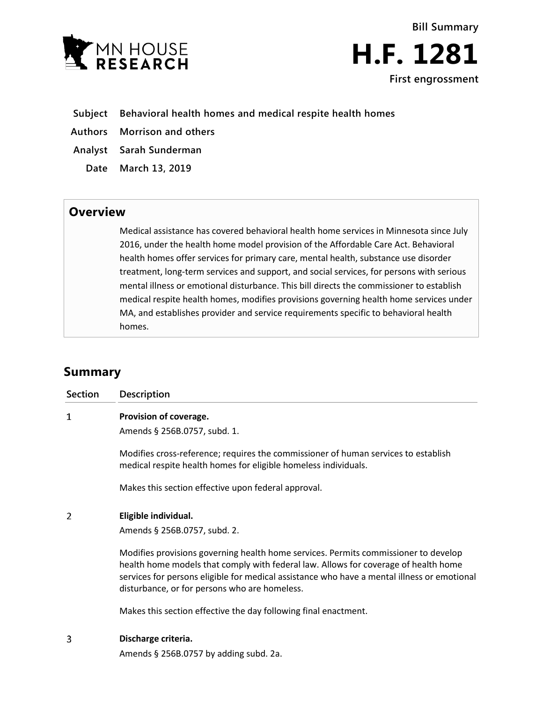

**Bill Summary H.F. 1281 First engrossment**

- **Subject Behavioral health homes and medical respite health homes**
- **Authors Morrison and others**
- **Analyst Sarah Sunderman**
	- **Date March 13, 2019**

## **Overview**

Medical assistance has covered behavioral health home services in Minnesota since July 2016, under the health home model provision of the Affordable Care Act. Behavioral health homes offer services for primary care, mental health, substance use disorder treatment, long-term services and support, and social services, for persons with serious mental illness or emotional disturbance. This bill directs the commissioner to establish medical respite health homes, modifies provisions governing health home services under MA, and establishes provider and service requirements specific to behavioral health homes.

# **Summary**

| <b>Section</b> | <b>Description</b>                                                                                                                                                                                                                                                                                                         |
|----------------|----------------------------------------------------------------------------------------------------------------------------------------------------------------------------------------------------------------------------------------------------------------------------------------------------------------------------|
| 1              | Provision of coverage.                                                                                                                                                                                                                                                                                                     |
|                | Amends § 256B.0757, subd. 1.                                                                                                                                                                                                                                                                                               |
|                | Modifies cross-reference; requires the commissioner of human services to establish<br>medical respite health homes for eligible homeless individuals.                                                                                                                                                                      |
|                | Makes this section effective upon federal approval.                                                                                                                                                                                                                                                                        |
| 2              | Eligible individual.                                                                                                                                                                                                                                                                                                       |
|                | Amends § 256B.0757, subd. 2.                                                                                                                                                                                                                                                                                               |
|                | Modifies provisions governing health home services. Permits commissioner to develop<br>health home models that comply with federal law. Allows for coverage of health home<br>services for persons eligible for medical assistance who have a mental illness or emotional<br>disturbance, or for persons who are homeless. |
|                | Makes this section effective the day following final enactment.                                                                                                                                                                                                                                                            |
| 3              | Discharge criteria.                                                                                                                                                                                                                                                                                                        |
|                |                                                                                                                                                                                                                                                                                                                            |

Amends § 256B.0757 by adding subd. 2a.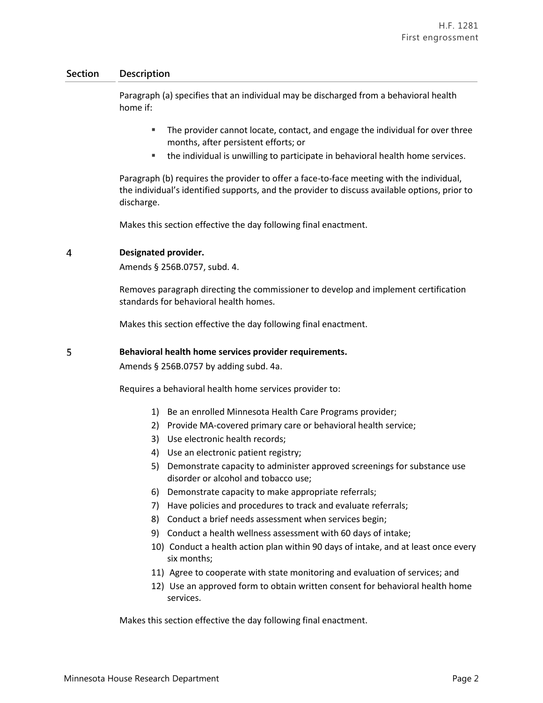Paragraph (a) specifies that an individual may be discharged from a behavioral health home if:

- **The provider cannot locate, contact, and engage the individual for over three** months, after persistent efforts; or
- the individual is unwilling to participate in behavioral health home services.

Paragraph (b) requires the provider to offer a face-to-face meeting with the individual, the individual's identified supports, and the provider to discuss available options, prior to discharge.

Makes this section effective the day following final enactment.

#### 4 **Designated provider.**

Amends § 256B.0757, subd. 4.

Removes paragraph directing the commissioner to develop and implement certification standards for behavioral health homes.

Makes this section effective the day following final enactment.

#### 5 **Behavioral health home services provider requirements.**

Amends § 256B.0757 by adding subd. 4a.

Requires a behavioral health home services provider to:

- 1) Be an enrolled Minnesota Health Care Programs provider;
- 2) Provide MA-covered primary care or behavioral health service;
- 3) Use electronic health records;
- 4) Use an electronic patient registry;
- 5) Demonstrate capacity to administer approved screenings for substance use disorder or alcohol and tobacco use;
- 6) Demonstrate capacity to make appropriate referrals;
- 7) Have policies and procedures to track and evaluate referrals;
- 8) Conduct a brief needs assessment when services begin;
- 9) Conduct a health wellness assessment with 60 days of intake;
- 10) Conduct a health action plan within 90 days of intake, and at least once every six months;
- 11) Agree to cooperate with state monitoring and evaluation of services; and
- 12) Use an approved form to obtain written consent for behavioral health home services.

Makes this section effective the day following final enactment.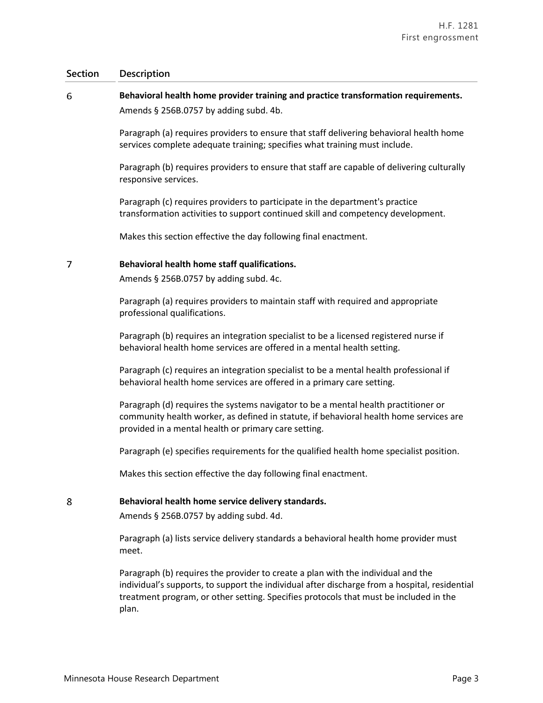### 6 **Behavioral health home provider training and practice transformation requirements.** Amends § 256B.0757 by adding subd. 4b.

Paragraph (a) requires providers to ensure that staff delivering behavioral health home services complete adequate training; specifies what training must include.

Paragraph (b) requires providers to ensure that staff are capable of delivering culturally responsive services.

Paragraph (c) requires providers to participate in the department's practice transformation activities to support continued skill and competency development.

Makes this section effective the day following final enactment.

#### $\overline{7}$ **Behavioral health home staff qualifications.**

Amends § 256B.0757 by adding subd. 4c.

Paragraph (a) requires providers to maintain staff with required and appropriate professional qualifications.

Paragraph (b) requires an integration specialist to be a licensed registered nurse if behavioral health home services are offered in a mental health setting.

Paragraph (c) requires an integration specialist to be a mental health professional if behavioral health home services are offered in a primary care setting.

Paragraph (d) requires the systems navigator to be a mental health practitioner or community health worker, as defined in statute, if behavioral health home services are provided in a mental health or primary care setting.

Paragraph (e) specifies requirements for the qualified health home specialist position.

Makes this section effective the day following final enactment.

#### 8 **Behavioral health home service delivery standards.**

Amends § 256B.0757 by adding subd. 4d.

Paragraph (a) lists service delivery standards a behavioral health home provider must meet.

Paragraph (b) requires the provider to create a plan with the individual and the individual's supports, to support the individual after discharge from a hospital, residential treatment program, or other setting. Specifies protocols that must be included in the plan.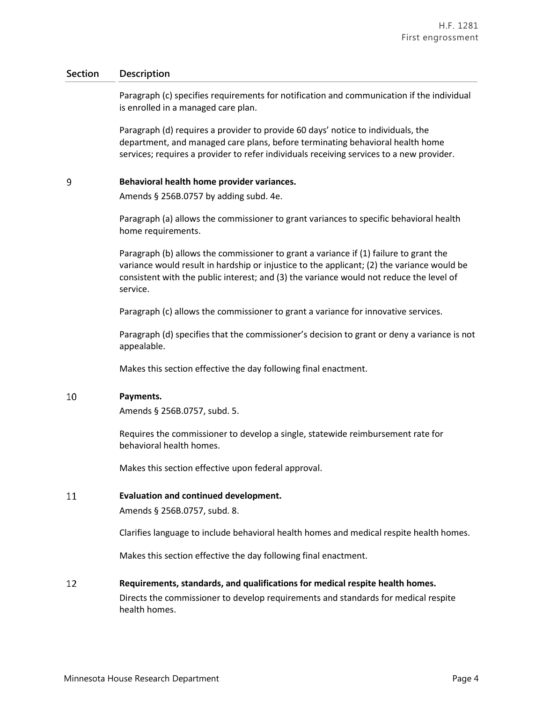Paragraph (c) specifies requirements for notification and communication if the individual is enrolled in a managed care plan.

Paragraph (d) requires a provider to provide 60 days' notice to individuals, the department, and managed care plans, before terminating behavioral health home services; requires a provider to refer individuals receiving services to a new provider.

#### 9 **Behavioral health home provider variances.**

Amends § 256B.0757 by adding subd. 4e.

Paragraph (a) allows the commissioner to grant variances to specific behavioral health home requirements.

Paragraph (b) allows the commissioner to grant a variance if (1) failure to grant the variance would result in hardship or injustice to the applicant; (2) the variance would be consistent with the public interest; and (3) the variance would not reduce the level of service.

Paragraph (c) allows the commissioner to grant a variance for innovative services.

Paragraph (d) specifies that the commissioner's decision to grant or deny a variance is not appealable.

Makes this section effective the day following final enactment.

#### 10 **Payments.**

Amends § 256B.0757, subd. 5.

Requires the commissioner to develop a single, statewide reimbursement rate for behavioral health homes.

Makes this section effective upon federal approval.

#### 11 **Evaluation and continued development.**

Amends § 256B.0757, subd. 8.

Clarifies language to include behavioral health homes and medical respite health homes.

Makes this section effective the day following final enactment.

#### 12 **Requirements, standards, and qualifications for medical respite health homes.**

Directs the commissioner to develop requirements and standards for medical respite health homes.